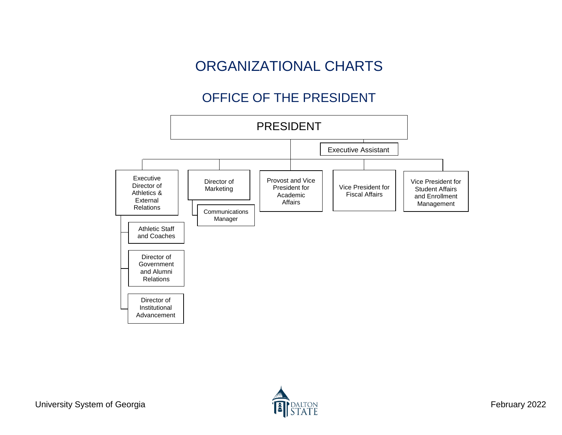# ORGANIZATIONAL CHARTS

## OFFICE OF THE PRESIDENT

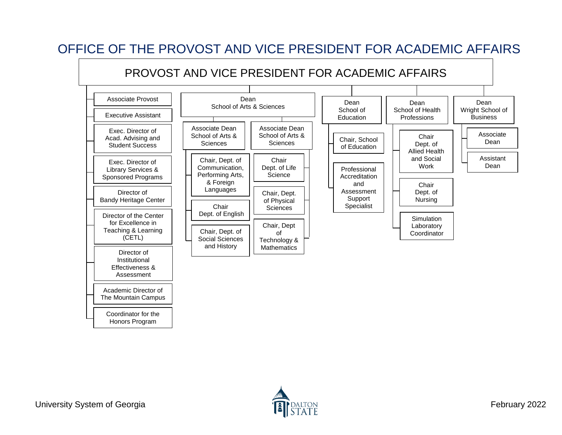

### OFFICE OF THE PROVOST AND VICE PRESIDENT FOR ACADEMIC AFFAIRS

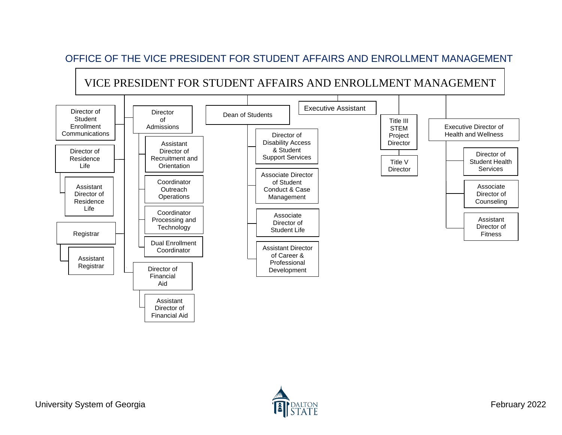#### OFFICE OF THE VICE PRESIDENT FOR STUDENT AFFAIRS AND ENROLLMENT MANAGEMENT

VICE PRESIDENT FOR STUDENT AFFAIRS AND ENROLLMENT MANAGEMENT